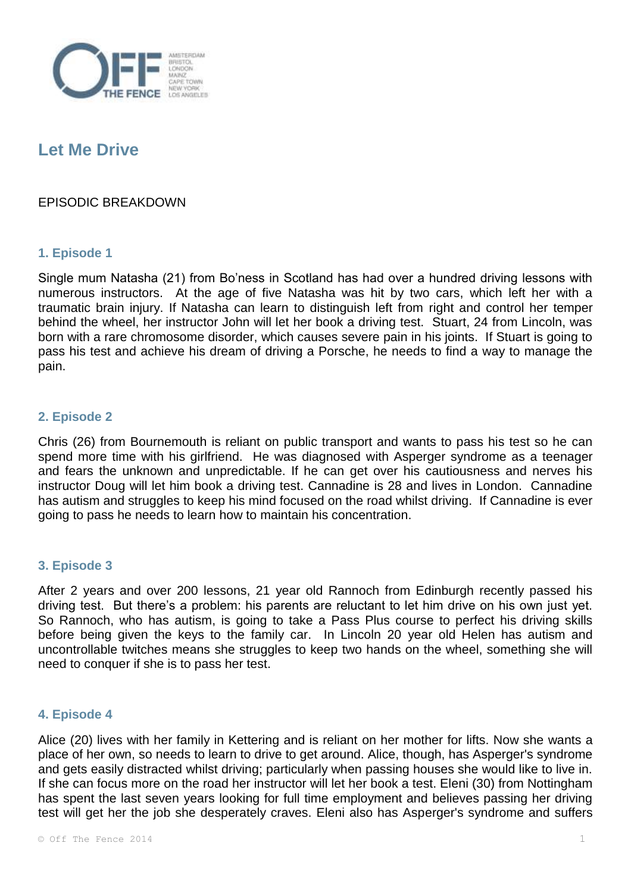

# **Let Me Drive**

## EPISODIC BREAKDOWN

### **1. Episode 1**

Single mum Natasha (21) from Bo'ness in Scotland has had over a hundred driving lessons with numerous instructors. At the age of five Natasha was hit by two cars, which left her with a traumatic brain injury. If Natasha can learn to distinguish left from right and control her temper behind the wheel, her instructor John will let her book a driving test. Stuart, 24 from Lincoln, was born with a rare chromosome disorder, which causes severe pain in his joints. If Stuart is going to pass his test and achieve his dream of driving a Porsche, he needs to find a way to manage the pain.

### **2. Episode 2**

Chris (26) from Bournemouth is reliant on public transport and wants to pass his test so he can spend more time with his girlfriend. He was diagnosed with Asperger syndrome as a teenager and fears the unknown and unpredictable. If he can get over his cautiousness and nerves his instructor Doug will let him book a driving test. Cannadine is 28 and lives in London. Cannadine has autism and struggles to keep his mind focused on the road whilst driving. If Cannadine is ever going to pass he needs to learn how to maintain his concentration.

### **3. Episode 3**

After 2 years and over 200 lessons, 21 year old Rannoch from Edinburgh recently passed his driving test. But there's a problem: his parents are reluctant to let him drive on his own just yet. So Rannoch, who has autism, is going to take a Pass Plus course to perfect his driving skills before being given the keys to the family car. In Lincoln 20 year old Helen has autism and uncontrollable twitches means she struggles to keep two hands on the wheel, something she will need to conquer if she is to pass her test.

#### **4. Episode 4**

Alice (20) lives with her family in Kettering and is reliant on her mother for lifts. Now she wants a place of her own, so needs to learn to drive to get around. Alice, though, has Asperger's syndrome and gets easily distracted whilst driving; particularly when passing houses she would like to live in. If she can focus more on the road her instructor will let her book a test. Eleni (30) from Nottingham has spent the last seven years looking for full time employment and believes passing her driving test will get her the job she desperately craves. Eleni also has Asperger's syndrome and suffers